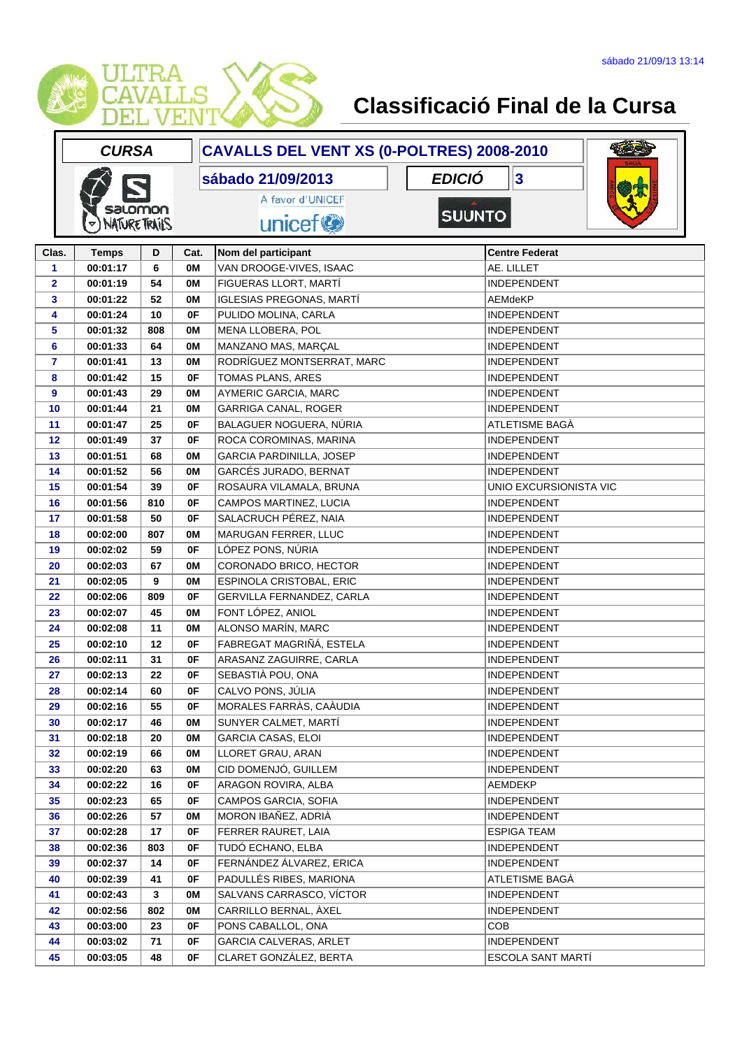

|              | <b>CURSA</b>         |     |      | CAVALLS DEL VENT XS (0-POLTRES) 2008-2010 |                                  |  |
|--------------|----------------------|-----|------|-------------------------------------------|----------------------------------|--|
|              |                      |     |      | sábado 21/09/2013                         | <b>EDICIÓ</b><br>$\vert 3 \vert$ |  |
|              |                      |     |      | A favor d'UNICEF                          |                                  |  |
|              | salomon              |     |      |                                           | <b>SUUNTO</b>                    |  |
|              | <b>NATURE TRAILS</b> |     |      | unicef <sup>®</sup>                       |                                  |  |
| Clas.        | <b>Temps</b>         | D   | Cat. | Nom del participant                       | <b>Centre Federat</b>            |  |
| 1            | 00:01:17             | 6   | 0M   | VAN DROOGE-VIVES, ISAAC                   | AE. LILLET                       |  |
| $\mathbf{2}$ | 00:01:19             | 54  | 0M   | FIGUERAS LLORT, MARTÍ                     | <b>INDEPENDENT</b>               |  |
| 3            | 00:01:22             | 52  | 0M   | IGLESIAS PREGONAS, MARTÍ                  | AEMdeKP                          |  |
| 4            | 00:01:24             | 10  | 0F   | PULIDO MOLINA, CARLA                      | <b>INDEPENDENT</b>               |  |
| 5            | 00:01:32             | 808 | 0M   | MENA LLOBERA, POL                         | <b>INDEPENDENT</b>               |  |
| 6            | 00:01:33             | 64  | 0M   | MANZANO MAS, MARÇAL                       | <b>INDEPENDENT</b>               |  |
| 7            | 00:01:41             | 13  | 0M   | RODRÍGUEZ MONTSERRAT, MARC                | INDEPENDENT                      |  |
| 8            | 00:01:42             | 15  | 0F   | TOMAS PLANS, ARES                         | <b>INDEPENDENT</b>               |  |
| 9            | 00:01:43             | 29  | 0M   | AYMERIC GARCIA, MARC                      | <b>INDEPENDENT</b>               |  |
| 10           | 00:01:44             | 21  | 0M   | GARRIGA CANAL, ROGER                      | <b>INDEPENDENT</b>               |  |
| 11           | 00:01:47             | 25  | 0F   | BALAGUER NOGUERA, NÚRIA                   | ATLETISME BAGÀ                   |  |
| 12           | 00:01:49             | 37  | 0F   | ROCA COROMINAS, MARINA                    | <b>INDEPENDENT</b>               |  |
| 13           | 00:01:51             | 68  | 0M   | <b>GARCIA PARDINILLA, JOSEP</b>           | <b>INDEPENDENT</b>               |  |
| 14           | 00:01:52             | 56  | 0M   | GARCÉS JURADO, BERNAT                     | <b>INDEPENDENT</b>               |  |
| 15           | 00:01:54             | 39  | 0F   | ROSAURA VILAMALA, BRUNA                   | UNIO EXCURSIONISTA VIC           |  |
| 16           | 00:01:56             | 810 | 0F   | CAMPOS MARTINEZ, LUCIA                    | <b>INDEPENDENT</b>               |  |
| 17           | 00:01:58             | 50  | 0F   | SALACRUCH PÉREZ, NAIA                     | INDEPENDENT                      |  |
| 18           | 00:02:00             | 807 | 0M   | MARUGAN FERRER, LLUC                      | <b>INDEPENDENT</b>               |  |
| 19           | 00:02:02             | 59  | 0F   | LÓPEZ PONS, NÚRIA                         | <b>INDEPENDENT</b>               |  |
| 20           | 00:02:03             | 67  | 0M   | CORONADO BRICO, HECTOR                    | <b>INDEPENDENT</b>               |  |
| 21           | 00:02:05             | 9   | 0M   | ESPINOLA CRISTOBAL, ERIC                  | <b>INDEPENDENT</b>               |  |
| 22           | 00:02:06             | 809 | 0F   | GERVILLA FERNANDEZ, CARLA                 | <b>INDEPENDENT</b>               |  |
| 23           | 00:02:07             | 45  | 0M   | FONT LÓPEZ, ANIOL                         | <b>INDEPENDENT</b>               |  |
| 24           | 00:02:08             | 11  | 0M   | ALONSO MARÍN, MARC                        | <b>INDEPENDENT</b>               |  |
| 25           | 00:02:10             | 12  | 0F   | FABREGAT MAGRIÑÁ, ESTELA                  | <b>INDEPENDENT</b>               |  |
| 26           | 00:02:11             | 31  | 0F   | ARASANZ ZAGUIRRE, CARLA                   | <b>INDEPENDENT</b>               |  |
| 27           | 00:02:13             | 22  | 0F   | SEBASTIÀ POU, ONA                         | <b>INDEPENDENT</b>               |  |
| 28           | 00:02:14             | 60  | 0F   | CALVO PONS, JÚLIA                         | <b>INDEPENDENT</b>               |  |
| 29           | 00:02:16             | 55  | 0F   | MORALES FARRÀS, CAÀUDIA                   | <b>INDEPENDENT</b>               |  |
| 30           | 00:02:17             | 46  | 0M   | SUNYER CALMET, MARTÍ                      | <b>INDEPENDENT</b>               |  |
| 31           | 00:02:18             | 20  | 0M   | <b>GARCIA CASAS, ELOI</b>                 | <b>INDEPENDENT</b>               |  |
| 32           | 00:02:19             | 66  | 0M   | LLORET GRAU, ARAN                         | <b>INDEPENDENT</b>               |  |
| 33           | 00:02:20             | 63  | 0M   | CID DOMENJÓ, GUILLEM                      | <b>INDEPENDENT</b>               |  |
| 34           | 00:02:22             | 16  | 0F   | ARAGON ROVIRA, ALBA                       | AEMDEKP                          |  |
| 35           | 00:02:23             | 65  | 0F   | CAMPOS GARCIA, SOFIA                      | <b>INDEPENDENT</b>               |  |
| 36           | 00:02:26             | 57  | 0M   | MORON IBAÑEZ, ADRIÀ                       | <b>INDEPENDENT</b>               |  |
| 37           | 00:02:28             | 17  | 0F   | FERRER RAURET, LAIA                       | <b>ESPIGA TEAM</b>               |  |
| 38           | 00:02:36             | 803 | 0F   | TUDÓ ECHANO, ELBA                         | <b>INDEPENDENT</b>               |  |
| 39           | 00:02:37             | 14  | 0F   | FERNÁNDEZ ÁLVAREZ, ERICA                  | <b>INDEPENDENT</b>               |  |
| 40           | 00:02:39             | 41  | 0F   | PADULLÉS RIBES, MARIONA                   | ATLETISME BAGÀ                   |  |
| 41           | 00:02:43             | 3   | 0M   | SALVANS CARRASCO, VÍCTOR                  | <b>INDEPENDENT</b>               |  |
| 42           | 00:02:56             | 802 | 0M   | CARRILLO BERNAL, ÀXEL                     | <b>INDEPENDENT</b>               |  |
| 43           | 00:03:00             | 23  | 0F   | PONS CABALLOL, ONA                        | <b>COB</b>                       |  |
| 44           | 00:03:02             | 71  | 0F   | GARCIA CALVERAS, ARLET                    | <b>INDEPENDENT</b>               |  |
| 45           | 00:03:05             | 48  | 0F   | CLARET GONZÁLEZ, BERTA                    | ESCOLA SANT MARTÍ                |  |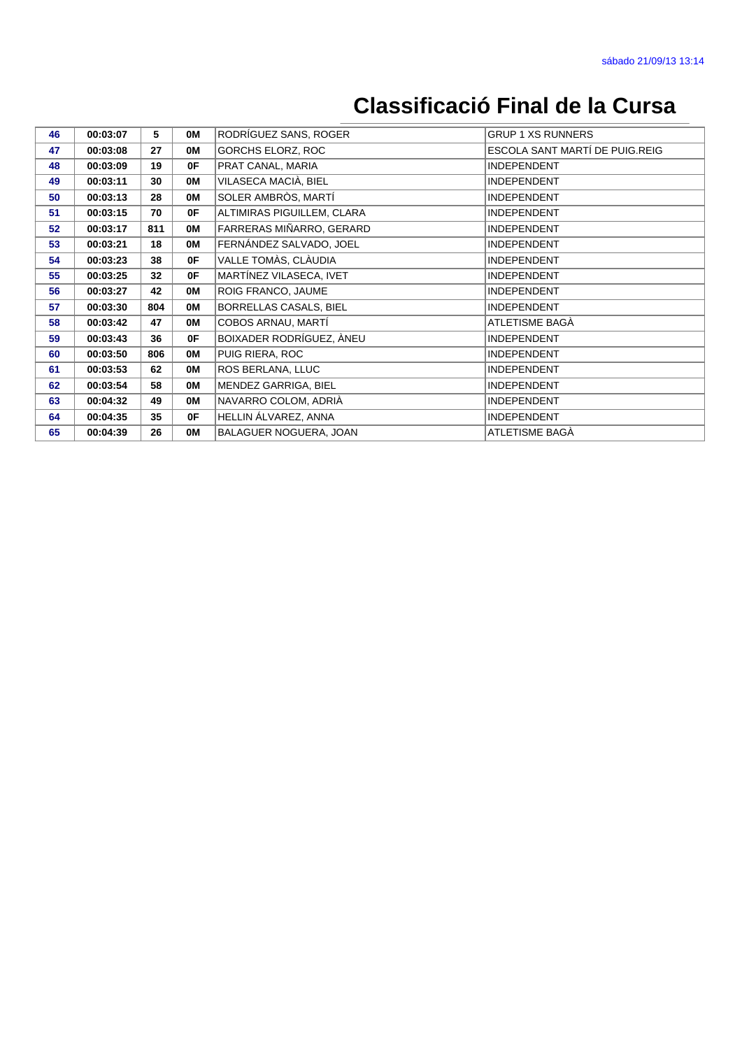| 46 | 00:03:07 | 5   | 0M | RODRÍGUEZ SANS, ROGER      | <b>GRUP 1 XS RUNNERS</b>       |  |
|----|----------|-----|----|----------------------------|--------------------------------|--|
| 47 | 00:03:08 | 27  | 0M | <b>GORCHS ELORZ, ROC</b>   | ESCOLA SANT MARTÍ DE PUIG.REIG |  |
| 48 | 00:03:09 | 19  | 0F | PRAT CANAL, MARIA          | <b>INDEPENDENT</b>             |  |
| 49 | 00:03:11 | 30  | 0M | VILASECA MACIÀ, BIEL       | <b>INDEPENDENT</b>             |  |
| 50 | 00:03:13 | 28  | 0M | SOLER AMBRÒS, MARTÍ        | <b>INDEPENDENT</b>             |  |
| 51 | 00:03:15 | 70  | 0F | ALTIMIRAS PIGUILLEM, CLARA | <b>INDEPENDENT</b>             |  |
| 52 | 00:03:17 | 811 | 0M | FARRERAS MIÑARRO, GERARD   | <b>INDEPENDENT</b>             |  |
| 53 | 00:03:21 | 18  | 0M | FERNÁNDEZ SALVADO, JOEL    | <b>INDEPENDENT</b>             |  |
| 54 | 00:03:23 | 38  | 0F | VALLE TOMÀS, CLÀUDIA       | <b>INDEPENDENT</b>             |  |
| 55 | 00:03:25 | 32  | 0F | MARTÍNEZ VILASECA, IVET    | <b>INDEPENDENT</b>             |  |
| 56 | 00:03:27 | 42  | 0M | ROIG FRANCO, JAUME         | <b>INDEPENDENT</b>             |  |
| 57 | 00:03:30 | 804 | 0M | BORRELLAS CASALS, BIEL     | <b>INDEPENDENT</b>             |  |
| 58 | 00:03:42 | 47  | 0M | COBOS ARNAU, MARTÍ         | ATLETISME BAGÀ                 |  |
| 59 | 00:03:43 | 36  | 0F | BOIXADER RODRÍGUEZ, ÀNEU   | <b>INDEPENDENT</b>             |  |
| 60 | 00:03:50 | 806 | 0M | PUIG RIERA, ROC            | <b>INDEPENDENT</b>             |  |
| 61 | 00:03:53 | 62  | 0M | ROS BERLANA, LLUC          | <b>INDEPENDENT</b>             |  |
| 62 | 00:03:54 | 58  | 0M | MENDEZ GARRIGA, BIEL       | <b>INDEPENDENT</b>             |  |
| 63 | 00:04:32 | 49  | OM | NAVARRO COLOM, ADRIÀ       | <b>INDEPENDENT</b>             |  |
| 64 | 00:04:35 | 35  | 0F | HELLIN ÁLVAREZ, ANNA       | <b>INDEPENDENT</b>             |  |
| 65 | 00:04:39 | 26  | 0M | BALAGUER NOGUERA, JOAN     | ATLETISME BAGÀ                 |  |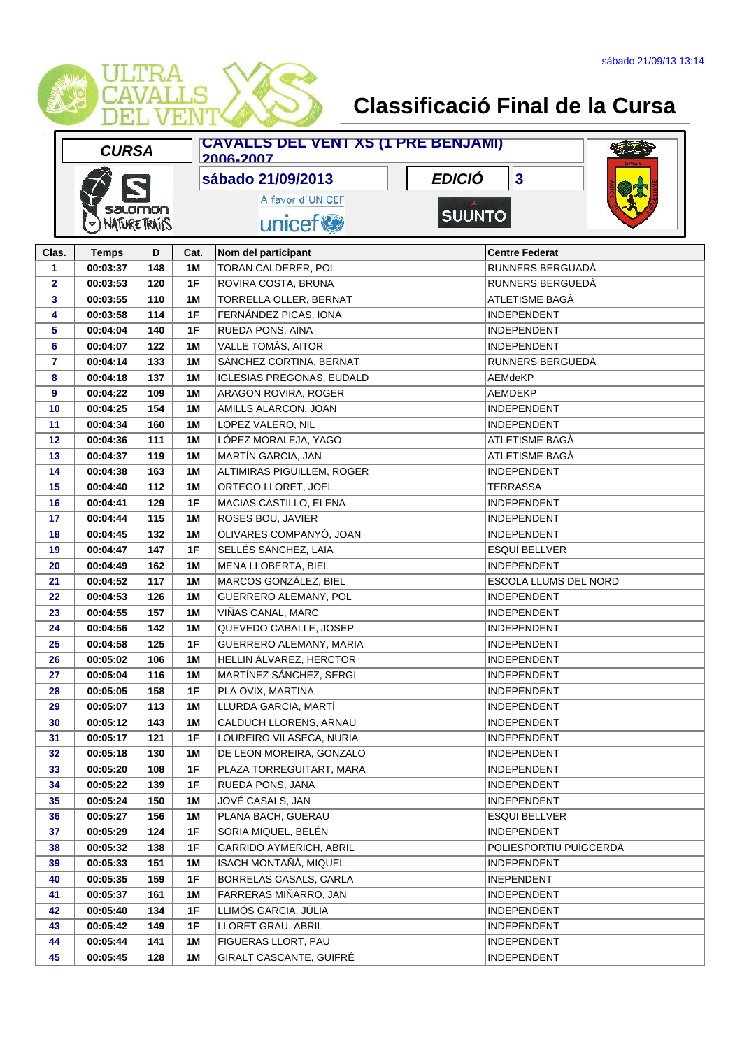

|              | <b>CURSA</b>         |     | <b>CAVALLS DEL VENT XS (1 PRE BENJAMI)</b><br>2006-2007 |                                  |               |                         |  |  |
|--------------|----------------------|-----|---------------------------------------------------------|----------------------------------|---------------|-------------------------|--|--|
|              |                      |     |                                                         | sábado 21/09/2013                | <b>EDICIÓ</b> | $\overline{\mathbf{3}}$ |  |  |
|              |                      |     |                                                         | A favor d'UNICEF                 |               |                         |  |  |
|              | salomon              |     |                                                         |                                  | <b>SUUNTO</b> |                         |  |  |
|              | <b>NATURE TRAILS</b> |     |                                                         | unicef <sup>®</sup>              |               |                         |  |  |
| Clas.        | <b>Temps</b>         | D   | Cat.                                                    | Nom del participant              |               | <b>Centre Federat</b>   |  |  |
| $\mathbf{1}$ | 00:03:37             | 148 | 1M                                                      | TORAN CALDERER, POL              |               | RUNNERS BERGUADÀ        |  |  |
| $\mathbf{2}$ | 00:03:53             | 120 | 1F                                                      | ROVIRA COSTA, BRUNA              |               | RUNNERS BERGUEDÀ        |  |  |
| 3            | 00:03:55             | 110 | 1M                                                      | TORRELLA OLLER, BERNAT           |               | ATLETISME BAGÀ          |  |  |
| 4            | 00:03:58             | 114 | 1F                                                      | FERNÁNDEZ PICAS, IONA            |               | <b>INDEPENDENT</b>      |  |  |
| 5            | 00:04:04             | 140 | 1F                                                      | RUEDA PONS, AINA                 |               | INDEPENDENT             |  |  |
| 6            | 00:04:07             | 122 | 1M                                                      | VALLE TOMÀS, AITOR               |               | <b>INDEPENDENT</b>      |  |  |
| 7            | 00:04:14             | 133 | 1M                                                      | SÁNCHEZ CORTINA, BERNAT          |               | RUNNERS BERGUEDA        |  |  |
| 8            | 00:04:18             | 137 | 1M                                                      | <b>IGLESIAS PREGONAS, EUDALD</b> |               | AEMdeKP                 |  |  |
| 9            | 00:04:22             | 109 | 1M                                                      | ARAGON ROVIRA, ROGER             |               | <b>AEMDEKP</b>          |  |  |
| 10           | 00:04:25             | 154 | 1M                                                      | AMILLS ALARCON, JOAN             |               | <b>INDEPENDENT</b>      |  |  |
| 11           | 00:04:34             | 160 | 1M                                                      | LOPEZ VALERO, NIL                |               | <b>INDEPENDENT</b>      |  |  |
| 12           | 00:04:36             | 111 | 1M                                                      | LÓPEZ MORALEJA, YAGO             |               | ATLETISME BAGÀ          |  |  |
| 13           | 00:04:37             | 119 | 1M                                                      | MARTÍN GARCIA, JAN               |               | ATLETISME BAGÀ          |  |  |
| 14           | 00:04:38             | 163 | 1M                                                      | ALTIMIRAS PIGUILLEM, ROGER       |               | <b>INDEPENDENT</b>      |  |  |
| 15           | 00:04:40             | 112 | 1M                                                      | ORTEGO LLORET, JOEL              |               | <b>TERRASSA</b>         |  |  |
| 16           | 00:04:41             | 129 | 1F                                                      | MACIAS CASTILLO, ELENA           |               | <b>INDEPENDENT</b>      |  |  |
| 17           | 00:04:44             | 115 | 1M                                                      | ROSES BOU, JAVIER                |               | <b>INDEPENDENT</b>      |  |  |
| 18           | 00:04:45             | 132 | 1M                                                      | OLIVARES COMPANYÓ, JOAN          |               | <b>INDEPENDENT</b>      |  |  |
| 19           | 00:04:47             | 147 | 1F                                                      | SELLÉS SÁNCHEZ, LAIA             |               | ESQUÍ BELLVER           |  |  |
| 20           | 00:04:49             | 162 | 1M                                                      | <b>MENA LLOBERTA, BIEL</b>       |               | <b>INDEPENDENT</b>      |  |  |
| 21           | 00:04:52             | 117 | 1M                                                      | MARCOS GONZÁLEZ, BIEL            |               | ESCOLA LLUMS DEL NORD   |  |  |
| 22           | 00:04:53             | 126 | 1M                                                      | GUERRERO ALEMANY, POL            |               | <b>INDEPENDENT</b>      |  |  |
| 23           | 00:04:55             | 157 | 1M                                                      | VIÑAS CANAL, MARC                |               | INDEPENDENT             |  |  |
| 24           | 00:04:56             | 142 | 1M                                                      | QUEVEDO CABALLE, JOSEP           |               | <b>INDEPENDENT</b>      |  |  |
| 25           | 00:04:58             | 125 | 1F                                                      | GUERRERO ALEMANY, MARIA          |               | INDEPENDENT             |  |  |
| 26           | 00:05:02             | 106 | 1M                                                      | HELLIN ÁLVAREZ, HERCTOR          |               | <b>INDEPENDENT</b>      |  |  |
| 27           | 00:05:04             | 116 | 1M                                                      | MARTÍNEZ SÁNCHEZ, SERGI          |               | <b>INDEPENDENT</b>      |  |  |
| 28           | 00:05:05             | 158 | 1F                                                      | PLA OVIX, MARTINA                |               | INDEPENDENT             |  |  |
| 29           | 00:05:07             | 113 | 1M                                                      | LLURDA GARCIA, MARTÍ             |               | <b>INDEPENDENT</b>      |  |  |
| 30           | 00:05:12             | 143 | 1M                                                      | CALDUCH LLORENS, ARNAU           |               | <b>INDEPENDENT</b>      |  |  |
| 31           | 00:05:17             | 121 | 1F                                                      | LOUREIRO VILASECA, NURIA         |               | <b>INDEPENDENT</b>      |  |  |
| 32           | 00:05:18             | 130 | 1M                                                      | DE LEON MOREIRA, GONZALO         |               | <b>INDEPENDENT</b>      |  |  |
| 33           | 00:05:20             | 108 | 1F                                                      | PLAZA TORREGUITART, MARA         |               | <b>INDEPENDENT</b>      |  |  |
| 34           | 00:05:22             | 139 | 1F                                                      | RUEDA PONS, JANA                 |               | <b>INDEPENDENT</b>      |  |  |
| 35           | 00:05:24             | 150 | 1M                                                      | JOVÉ CASALS, JAN                 |               | <b>INDEPENDENT</b>      |  |  |
| 36           | 00:05:27             | 156 | 1M                                                      | PLANA BACH, GUERAU               |               | <b>ESQUI BELLVER</b>    |  |  |
| 37           | 00:05:29             | 124 | 1F                                                      | SORIA MIQUEL, BELÉN              |               | <b>INDEPENDENT</b>      |  |  |
| 38           | 00:05:32             | 138 | 1F                                                      | GARRIDO AYMERICH, ABRIL          |               | POLIESPORTIU PUIGCERDÀ  |  |  |
| 39           | 00:05:33             | 151 | 1M                                                      | ISACH MONTAÑÀ, MIQUEL            |               | <b>INDEPENDENT</b>      |  |  |
| 40           | 00:05:35             | 159 | 1F                                                      | BORRELAS CASALS, CARLA           |               | <b>INEPENDENT</b>       |  |  |
| 41           | 00:05:37             | 161 | 1M                                                      | FARRERAS MIÑARRO, JAN            |               | <b>INDEPENDENT</b>      |  |  |
| 42           | 00:05:40             | 134 | 1F                                                      | LLIMÓS GARCIA, JÚLIA             |               | <b>INDEPENDENT</b>      |  |  |
| 43           | 00:05:42             | 149 | 1F                                                      | LLORET GRAU, ABRIL               |               | <b>INDEPENDENT</b>      |  |  |
| 44           | 00:05:44             | 141 | 1M                                                      | FIGUERAS LLORT, PAU              |               | <b>INDEPENDENT</b>      |  |  |
| 45           | 00:05:45             | 128 | 1M                                                      | GIRALT CASCANTE, GUIFRÉ          |               | <b>INDEPENDENT</b>      |  |  |
|              |                      |     |                                                         |                                  |               |                         |  |  |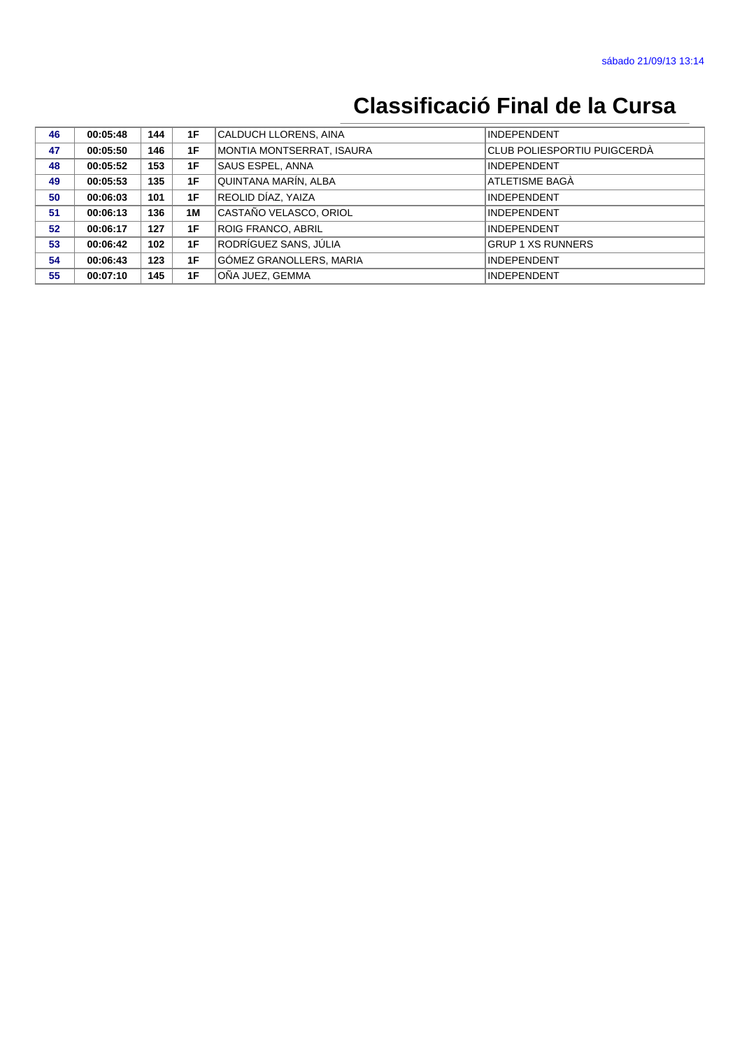| 46 | 00:05:48 | 144 | 1F | CALDUCH LLORENS, AINA     | <b>INDEPENDENT</b>          |
|----|----------|-----|----|---------------------------|-----------------------------|
| 47 | 00:05:50 | 146 | 1F | MONTIA MONTSERRAT, ISAURA | CLUB POLIESPORTIU PUIGCERDÀ |
| 48 | 00:05:52 | 153 | 1F | SAUS ESPEL, ANNA          | <b>INDEPENDENT</b>          |
| 49 | 00:05:53 | 135 | 1F | QUINTANA MARÍN, ALBA      | ATLETISME BAGÀ              |
| 50 | 00:06:03 | 101 | 1F | REOLID DÍAZ, YAIZA        | <b>INDEPENDENT</b>          |
| 51 | 00:06:13 | 136 | 1M | CASTAÑO VELASCO, ORIOL    | <b>INDEPENDENT</b>          |
| 52 | 00:06:17 | 127 | 1F | <b>ROIG FRANCO, ABRIL</b> | <b>INDEPENDENT</b>          |
| 53 | 00:06:42 | 102 | 1F | RODRÍGUEZ SANS, JÚLIA     | <b>GRUP 1 XS RUNNERS</b>    |
| 54 | 00:06:43 | 123 | 1F | GÓMEZ GRANOLLERS, MARIA   | <b>INDEPENDENT</b>          |
| 55 | 00:07:10 | 145 | 1F | OÑA JUEZ. GEMMA           | <b>INDEPENDENT</b>          |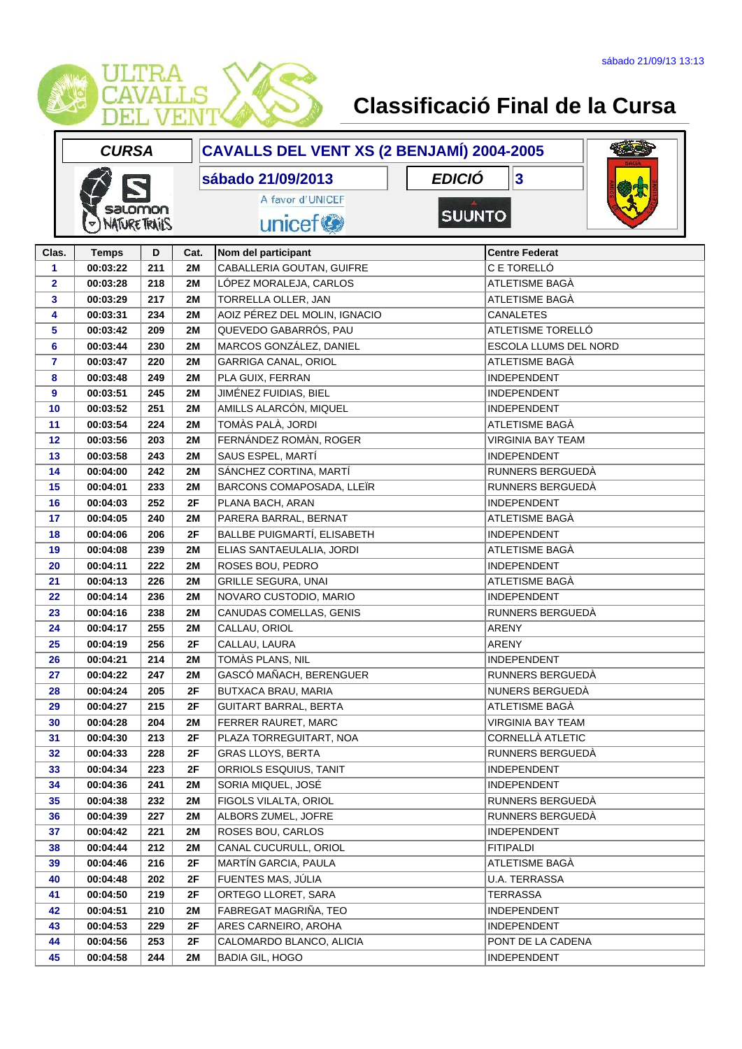

|              | <b>CURSA</b>         |     |           | CAVALLS DEL VENT XS (2 BENJAMÍ) 2004-2005 |               |                          |  |
|--------------|----------------------|-----|-----------|-------------------------------------------|---------------|--------------------------|--|
|              |                      |     |           | sábado 21/09/2013                         | <b>EDICIÓ</b> | 3                        |  |
|              |                      |     |           | A favor d'UNICEF                          |               |                          |  |
|              | salomon              |     |           |                                           | <b>SUUNTO</b> |                          |  |
|              | <b>NATURE TRAILS</b> |     |           | unicef <sup>®</sup>                       |               |                          |  |
| Clas.        | <b>Temps</b>         | D   | Cat.      | Nom del participant                       |               | <b>Centre Federat</b>    |  |
| 1            | 00:03:22             | 211 | 2M        | CABALLERIA GOUTAN, GUIFRE                 |               | C E TORELLÓ              |  |
| $\mathbf{2}$ | 00:03:28             | 218 | 2M        | LÓPEZ MORALEJA, CARLOS                    |               | ATLETISME BAGÀ           |  |
| 3            | 00:03:29             | 217 | 2M        | TORRELLA OLLER, JAN                       |               | ATLETISME BAGÀ           |  |
| 4            | 00:03:31             | 234 | 2M        | AOIZ PÉREZ DEL MOLIN, IGNACIO             |               | CANALETES                |  |
| 5            | 00:03:42             | 209 | 2M        | QUEVEDO GABARRÓS, PAU                     |               | ATLETISME TORELLÓ        |  |
| 6            | 00:03:44             | 230 | 2M        | MARCOS GONZÁLEZ, DANIEL                   |               | ESCOLA LLUMS DEL NORD    |  |
| 7            | 00:03:47             | 220 | 2M        | GARRIGA CANAL, ORIOL                      |               | ATLETISME BAGA           |  |
| 8            | 00:03:48             | 249 | 2M        | PLA GUIX, FERRAN                          |               | <b>INDEPENDENT</b>       |  |
| 9            | 00:03:51             | 245 | 2M        | JIMÉNEZ FUIDIAS, BIEL                     |               | <b>INDEPENDENT</b>       |  |
| 10           | 00:03:52             | 251 | 2M        | AMILLS ALARCÓN, MIQUEL                    |               | <b>INDEPENDENT</b>       |  |
| 11           | 00:03:54             | 224 | 2M        | TOMÀS PALÀ, JORDI                         |               | ATLETISME BAGÀ           |  |
| 12           | 00:03:56             | 203 | 2M        | FERNÁNDEZ ROMÀN, ROGER                    |               | <b>VIRGINIA BAY TEAM</b> |  |
| 13           | 00:03:58             | 243 | 2M        | SAUS ESPEL, MARTÍ                         |               | <b>INDEPENDENT</b>       |  |
| 14           | 00:04:00             | 242 | 2M        | SÁNCHEZ CORTINA, MARTÍ                    |               | RUNNERS BERGUEDÀ         |  |
| 15           | 00:04:01             | 233 | 2M        | BARCONS COMAPOSADA, LLEÏR                 |               | RUNNERS BERGUEDÀ         |  |
| 16           | 00:04:03             | 252 | 2F        | PLANA BACH, ARAN                          |               | <b>INDEPENDENT</b>       |  |
| 17           | 00:04:05             | 240 | 2M        | PARERA BARRAL, BERNAT                     |               | ATLETISME BAGÀ           |  |
| 18           | 00:04:06             | 206 | 2F        | BALLBE PUIGMARTÍ, ELISABETH               |               | <b>INDEPENDENT</b>       |  |
| 19           | 00:04:08             | 239 | 2M        | ELIAS SANTAEULALIA, JORDI                 |               | ATLETISME BAGÀ           |  |
| 20           | 00:04:11             | 222 | 2M        | ROSES BOU, PEDRO                          |               | <b>INDEPENDENT</b>       |  |
| 21           | 00:04:13             | 226 | 2M        | <b>GRILLE SEGURA, UNAI</b>                |               | ATLETISME BAGÀ           |  |
| 22           | 00:04:14             | 236 | 2M        | NOVARO CUSTODIO, MARIO                    |               | <b>INDEPENDENT</b>       |  |
| 23           | 00:04:16             | 238 | 2M        | CANUDAS COMELLAS, GENIS                   |               | RUNNERS BERGUEDÀ         |  |
| 24           | 00:04:17             | 255 | 2M        | CALLAU, ORIOL                             |               | <b>ARENY</b>             |  |
| 25           | 00:04:19             | 256 | 2F        | CALLAU, LAURA                             |               | <b>ARENY</b>             |  |
| 26           | 00:04:21             | 214 | 2M        | TOMÀS PLANS, NIL                          |               | <b>INDEPENDENT</b>       |  |
| 27           | 00:04:22             | 247 | 2M        | GASCÓ MAÑACH, BERENGUER                   |               | RUNNERS BERGUEDÀ         |  |
| 28           | 00:04:24             | 205 | 2F        | BUTXACA BRAU, MARIA                       |               | NUNERS BERGUEDÀ          |  |
| 29           | 00:04:27             | 215 | 2F        | GUITART BARRAL, BERTA                     |               | ATLETISME BAGÀ           |  |
| 30           | 00:04:28             | 204 | 2M        | FERRER RAURET, MARC                       |               | VIRGINIA BAY TEAM        |  |
| 31           | 00:04:30             | 213 | 2F        | PLAZA TORREGUITART, NOA                   |               | CORNELLÀ ATLETIC         |  |
| 32           | 00:04:33             | 228 | 2F        | <b>GRAS LLOYS, BERTA</b>                  |               | RUNNERS BERGUEDÀ         |  |
| 33           | 00:04:34             | 223 | 2F        | ORRIOLS ESQUIUS, TANIT                    |               | <b>INDEPENDENT</b>       |  |
| 34           | 00:04:36             | 241 | <b>2M</b> | SORIA MIQUEL, JOSÉ                        |               | <b>INDEPENDENT</b>       |  |
| 35           | 00:04:38             | 232 | 2M        | FIGOLS VILALTA, ORIOL                     |               | RUNNERS BERGUEDÀ         |  |
| 36           | 00:04:39             | 227 | 2M        | ALBORS ZUMEL, JOFRE                       |               | RUNNERS BERGUEDÀ         |  |
| 37           | 00:04:42             | 221 | 2M        | ROSES BOU, CARLOS                         |               | <b>INDEPENDENT</b>       |  |
| 38           | 00:04:44             | 212 | 2M        | CANAL CUCURULL, ORIOL                     |               | <b>FITIPALDI</b>         |  |
| 39           | 00:04:46             | 216 | 2F        | MARTÍN GARCIA, PAULA                      |               | ATLETISME BAGA           |  |
| 40           | 00:04:48             | 202 | 2F        | FUENTES MAS, JÚLIA                        |               | U.A. TERRASSA            |  |
| 41           | 00:04:50             | 219 | 2F        | ORTEGO LLORET, SARA                       |               | TERRASSA                 |  |
| 42           | 00:04:51             | 210 | <b>2M</b> | FABREGAT MAGRIÑA, TEO                     |               | <b>INDEPENDENT</b>       |  |
| 43           | 00:04:53             | 229 | 2F        | ARES CARNEIRO, AROHA                      |               | <b>INDEPENDENT</b>       |  |
| 44           | 00:04:56             | 253 | 2F        | CALOMARDO BLANCO, ALICIA                  |               | PONT DE LA CADENA        |  |
| 45           | 00:04:58             | 244 | 2M        | BADIA GIL, HOGO                           |               | <b>INDEPENDENT</b>       |  |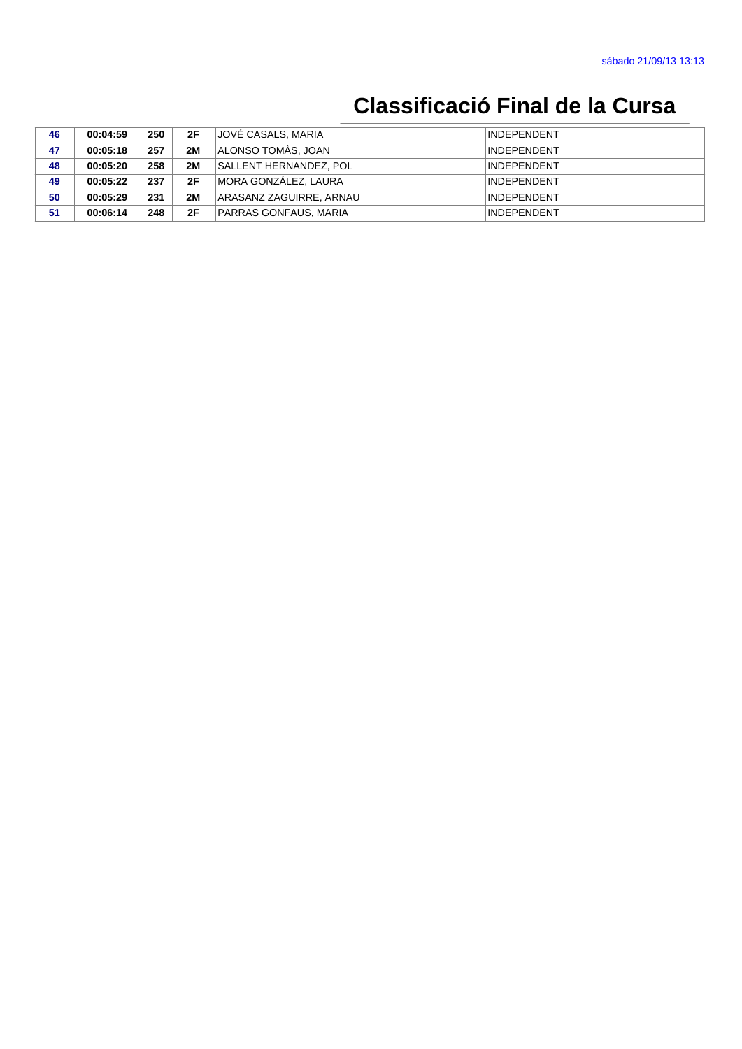| 46 | 00:04:59 | 250 | 2F | JOVÉ CASALS, MARIA           | INDEPENDENT |
|----|----------|-----|----|------------------------------|-------------|
| 47 | 00:05:18 | 257 | 2M | ALONSO TOMÀS, JOAN           | INDEPENDENT |
| 48 | 00:05:20 | 258 | 2M | SALLENT HERNANDEZ, POL       | INDEPENDENT |
| 49 | 00:05:22 | 237 | 2F | <b>MORA GONZÁLEZ. LAURA</b>  | INDEPENDENT |
| 50 | 00:05:29 | 231 | 2M | ARASANZ ZAGUIRRE. ARNAU      | INDEPENDENT |
| 51 | 00:06:14 | 248 | 2F | <b>PARRAS GONFAUS, MARIA</b> | INDEPENDENT |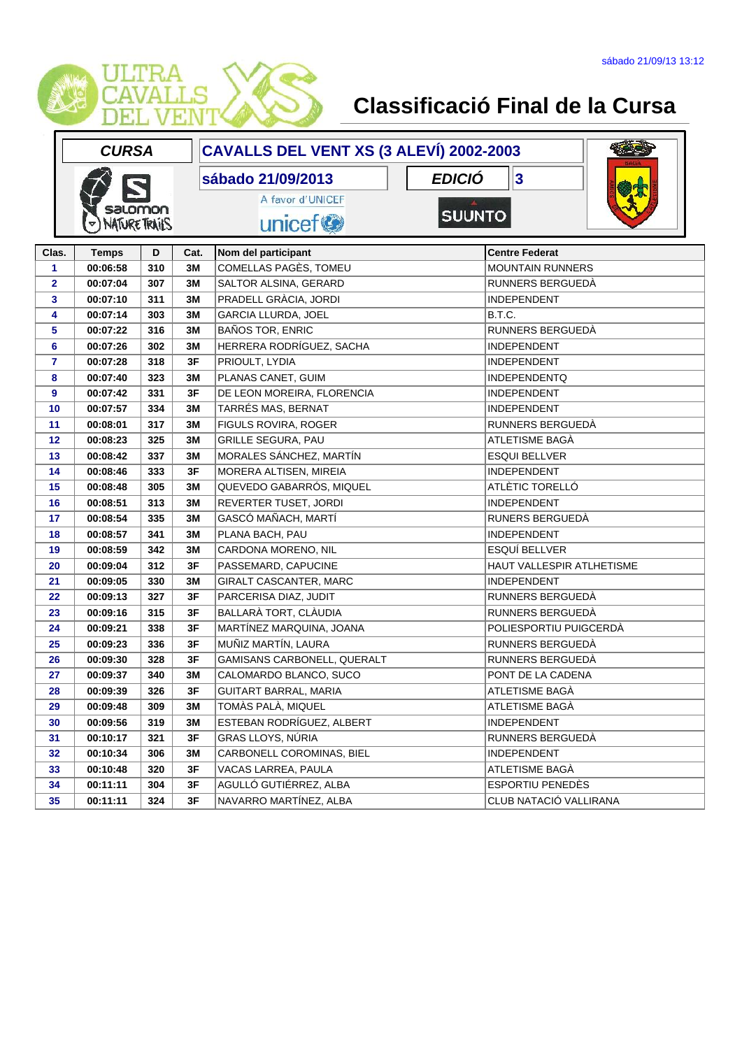

|                         | <b>CURSA</b>         |     |      | CAVALLS DEL VENT XS (3 ALEVÍ) 2002-2003 |                           |
|-------------------------|----------------------|-----|------|-----------------------------------------|---------------------------|
|                         |                      |     |      | <b>EDICIÓ</b><br>sábado 21/09/2013      | $\overline{\mathbf{3}}$   |
|                         | salomon              |     |      | A favor d'UNICEF                        |                           |
|                         | <b>NATURE TRAILS</b> |     |      | <b>SUUNTO</b><br>unicef <sup>®</sup>    |                           |
|                         |                      |     |      |                                         |                           |
| Clas.                   | <b>Temps</b>         | D   | Cat. | Nom del participant                     | <b>Centre Federat</b>     |
| 1                       | 00:06:58             | 310 | 3M   | COMELLAS PAGÈS, TOMEU                   | <b>MOUNTAIN RUNNERS</b>   |
| $\overline{\mathbf{2}}$ | 00:07:04             | 307 | 3M   | SALTOR ALSINA, GERARD                   | RUNNERS BERGUEDÀ          |
| 3                       | 00:07:10             | 311 | 3M   | PRADELL GRÀCIA, JORDI                   | <b>INDEPENDENT</b>        |
| 4                       | 00:07:14             | 303 | 3M   | <b>GARCIA LLURDA, JOEL</b>              | B.T.C.                    |
| 5                       | 00:07:22             | 316 | 3M   | <b>BAÑOS TOR, ENRIC</b>                 | RUNNERS BERGUEDÀ          |
| 6                       | 00:07:26             | 302 | 3M   | HERRERA RODRÍGUEZ, SACHA                | <b>INDEPENDENT</b>        |
| $\overline{\mathbf{r}}$ | 00:07:28             | 318 | 3F   | PRIOULT, LYDIA                          | <b>INDEPENDENT</b>        |
| 8                       | 00:07:40             | 323 | 3M   | PLANAS CANET, GUIM                      | <b>INDEPENDENTQ</b>       |
| 9                       | 00:07:42             | 331 | 3F   | DE LEON MOREIRA, FLORENCIA              | <b>INDEPENDENT</b>        |
| 10                      | 00:07:57             | 334 | 3M   | TARRÉS MAS, BERNAT                      | <b>INDEPENDENT</b>        |
| 11                      | 00:08:01             | 317 | 3M   | FIGULS ROVIRA, ROGER                    | RUNNERS BERGUEDÀ          |
| 12                      | 00:08:23             | 325 | 3M   | <b>GRILLE SEGURA, PAU</b>               | ATLETISME BAGÀ            |
| 13                      | 00:08:42             | 337 | 3M   | MORALES SÁNCHEZ, MARTÍN                 | <b>ESQUI BELLVER</b>      |
| 14                      | 00:08:46             | 333 | 3F   | MORERA ALTISEN, MIREIA                  | <b>INDEPENDENT</b>        |
| 15                      | 00:08:48             | 305 | 3M   | QUEVEDO GABARRÓS, MIQUEL                | ATLÈTIC TORELLÓ           |
| 16                      | 00:08:51             | 313 | 3M   | REVERTER TUSET, JORDI                   | <b>INDEPENDENT</b>        |
| 17                      | 00:08:54             | 335 | 3M   | GASCÓ MAÑACH, MARTÍ                     | RUNERS BERGUEDÀ           |
| 18                      | 00:08:57             | 341 | 3M   | PLANA BACH, PAU                         | <b>INDEPENDENT</b>        |
| 19                      | 00:08:59             | 342 | 3M   | CARDONA MORENO, NIL                     | ESQUÍ BELLVER             |
| 20                      | 00:09:04             | 312 | 3F   | PASSEMARD, CAPUCINE                     | HAUT VALLESPIR ATLHETISME |
| 21                      | 00:09:05             | 330 | 3M   | GIRALT CASCANTER, MARC                  | <b>INDEPENDENT</b>        |
| 22                      | 00:09:13             | 327 | 3F   | PARCERISA DIAZ, JUDIT                   | RUNNERS BERGUEDÀ          |
| 23                      | 00:09:16             | 315 | 3F   | BALLARÀ TORT, CLÀUDIA                   | RUNNERS BERGUEDÀ          |
| 24                      | 00:09:21             | 338 | 3F   | MARTÍNEZ MARQUINA, JOANA                | POLIESPORTIU PUIGCERDÀ    |
| 25                      | 00:09:23             | 336 | 3F   | MUÑIZ MARTÍN, LAURA                     | RUNNERS BERGUEDÀ          |
| 26                      | 00:09:30             | 328 | 3F   | GAMISANS CARBONELL, QUERALT             | RUNNERS BERGUEDÀ          |
| 27                      | 00:09:37             | 340 | 3M   | CALOMARDO BLANCO, SUCO                  | PONT DE LA CADENA         |
| 28                      | 00:09:39             | 326 | 3F   | <b>GUITART BARRAL, MARIA</b>            | ATLETISME BAGÀ            |
| 29                      | 00:09:48             | 309 | 3M   | TOMÀS PALÀ, MIQUEL                      | ATLETISME BAGA            |
| 30                      | 00:09:56             | 319 | 3M   | ESTEBAN RODRÍGUEZ, ALBERT               | <b>INDEPENDENT</b>        |
| 31                      | 00:10:17             | 321 | 3F   | GRAS LLOYS, NÚRIA                       | RUNNERS BERGUEDÀ          |
| 32                      | 00:10:34             | 306 | 3M   | CARBONELL COROMINAS, BIEL               | <b>INDEPENDENT</b>        |
| 33                      | 00:10:48             | 320 | 3F   | VACAS LARREA, PAULA                     | ATLETISME BAGÀ            |
| 34                      | 00:11:11             | 304 | 3F   | AGULLÓ GUTIÉRREZ, ALBA                  | ESPORTIU PENEDÈS          |
| 35                      | 00:11:11             | 324 | 3F   | NAVARRO MARTÍNEZ, ALBA                  | CLUB NATACIÓ VALLIRANA    |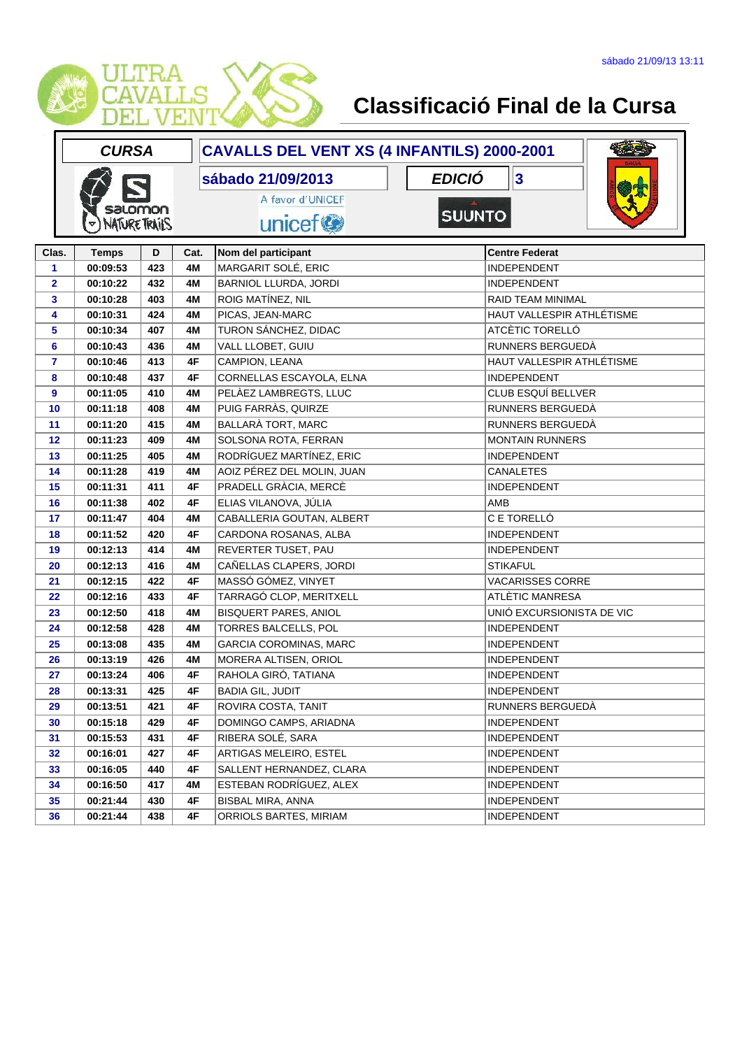

|                | <b>CURSA</b>         |     |      | CAVALLS DEL VENT XS (4 INFANTILS) 2000-2001 |               |                           |  |
|----------------|----------------------|-----|------|---------------------------------------------|---------------|---------------------------|--|
|                |                      |     |      | sábado 21/09/2013                           | <b>EDICIÓ</b> | $\overline{\mathbf{3}}$   |  |
|                | salomon              |     |      | A favor d'UNICEF                            |               |                           |  |
|                | <b>NATURE TRAILS</b> |     |      | unicef <sup>®</sup>                         | <b>SUUNTO</b> |                           |  |
|                |                      |     |      |                                             |               |                           |  |
| Clas.          | <b>Temps</b>         | D   | Cat. | Nom del participant                         |               | <b>Centre Federat</b>     |  |
| 1              | 00:09:53             | 423 | 4M   | MARGARIT SOLÉ, ERIC                         |               | <b>INDEPENDENT</b>        |  |
| $\overline{2}$ | 00:10:22             | 432 | 4M   | BARNIOL LLURDA, JORDI                       |               | <b>INDEPENDENT</b>        |  |
| 3              | 00:10:28             | 403 | 4M   | ROIG MATÍNEZ, NIL                           |               | RAID TEAM MINIMAL         |  |
| 4              | 00:10:31             | 424 | 4M   | PICAS, JEAN-MARC                            |               | HAUT VALLESPIR ATHLÉTISME |  |
| 5              | 00:10:34             | 407 | 4M   | TURON SÁNCHEZ, DIDAC                        |               | ATCÈTIC TORELLÓ           |  |
| 6              | 00:10:43             | 436 | 4M   | VALL LLOBET, GUIU                           |               | RUNNERS BERGUEDÀ          |  |
| 7              | 00:10:46             | 413 | 4F   | CAMPION, LEANA                              |               | HAUT VALLESPIR ATHLÉTISME |  |
| 8              | 00:10:48             | 437 | 4F   | CORNELLAS ESCAYOLA, ELNA                    |               | <b>INDEPENDENT</b>        |  |
| 9              | 00:11:05             | 410 | 4M   | PELÀEZ LAMBREGTS, LLUC                      |               | CLUB ESQUÍ BELLVER        |  |
| 10             | 00:11:18             | 408 | 4M   | PUIG FARRÀS, QUIRZE                         |               | RUNNERS BERGUEDÀ          |  |
| 11             | 00:11:20             | 415 | 4M   | BALLARÀ TORT, MARC                          |               | RUNNERS BERGUEDÀ          |  |
| 12             | 00:11:23             | 409 | 4M   | SOLSONA ROTA, FERRAN                        |               | <b>MONTAIN RUNNERS</b>    |  |
| 13             | 00:11:25             | 405 | 4M   | RODRÍGUEZ MARTÍNEZ, ERIC                    |               | <b>INDEPENDENT</b>        |  |
| 14             | 00:11:28             | 419 | 4M   | AOIZ PÉREZ DEL MOLIN, JUAN                  |               | <b>CANALETES</b>          |  |
| 15             | 00:11:31             | 411 | 4F   | PRADELL GRACIA, MERCÈ                       |               | <b>INDEPENDENT</b>        |  |
| 16             | 00:11:38             | 402 | 4F   | ELIAS VILANOVA, JÚLIA                       |               | AMB                       |  |
| 17             | 00:11:47             | 404 | 4M   | CABALLERIA GOUTAN, ALBERT                   |               | C E TORELLÓ               |  |
| 18             | 00:11:52             | 420 | 4F   | CARDONA ROSANAS, ALBA                       |               | <b>INDEPENDENT</b>        |  |
| 19             | 00:12:13             | 414 | 4M   | REVERTER TUSET, PAU                         |               | <b>INDEPENDENT</b>        |  |
| 20             | 00:12:13             | 416 | 4M   | CAÑELLAS CLAPERS, JORDI                     |               | <b>STIKAFUL</b>           |  |
| 21             | 00:12:15             | 422 | 4F   | MASSÓ GÓMEZ, VINYET                         |               | <b>VACARISSES CORRE</b>   |  |
| 22             | 00:12:16             | 433 | 4F   | TARRAGÓ CLOP, MERITXELL                     |               | ATLÈTIC MANRESA           |  |
| 23             | 00:12:50             | 418 | 4M   | <b>BISQUERT PARES, ANIOL</b>                |               | UNIÓ EXCURSIONISTA DE VIC |  |
| 24             | 00:12:58             | 428 | 4M   | <b>TORRES BALCELLS, POL</b>                 |               | <b>INDEPENDENT</b>        |  |
| 25             | 00:13:08             | 435 | 4M   | GARCIA COROMINAS, MARC                      |               | <b>INDEPENDENT</b>        |  |
| 26             | 00:13:19             | 426 | 4M   | MORERA ALTISEN, ORIOL                       |               | <b>INDEPENDENT</b>        |  |
| 27             | 00:13:24             | 406 | 4F   | RAHOLA GIRÓ, TATIANA                        |               | <b>INDEPENDENT</b>        |  |
| 28             | 00:13:31             | 425 | 4F   | <b>BADIA GIL, JUDIT</b>                     |               | INDEPENDENT               |  |
| 29             | 00:13:51             | 421 | 4F   | ROVIRA COSTA, TANIT                         |               | RUNNERS BERGUEDÀ          |  |
| 30             | 00:15:18             | 429 | 4F   | DOMINGO CAMPS, ARIADNA                      |               | <b>INDEPENDENT</b>        |  |
| 31             | 00:15:53             | 431 | 4F   | RIBERA SOLÉ, SARA                           |               | <b>INDEPENDENT</b>        |  |
| 32             | 00:16:01             | 427 | 4F   | ARTIGAS MELEIRO, ESTEL                      |               | <b>INDEPENDENT</b>        |  |
| 33             | 00:16:05             | 440 | 4F   | SALLENT HERNANDEZ, CLARA                    |               | <b>INDEPENDENT</b>        |  |
| 34             | 00:16:50             | 417 | 4M   | ESTEBAN RODRÍGUEZ, ALEX                     |               | <b>INDEPENDENT</b>        |  |
| 35             | 00:21:44             | 430 | 4F   | <b>BISBAL MIRA, ANNA</b>                    |               | <b>INDEPENDENT</b>        |  |
| 36             | 00:21:44             | 438 | 4F   | ORRIOLS BARTES, MIRIAM                      |               | <b>INDEPENDENT</b>        |  |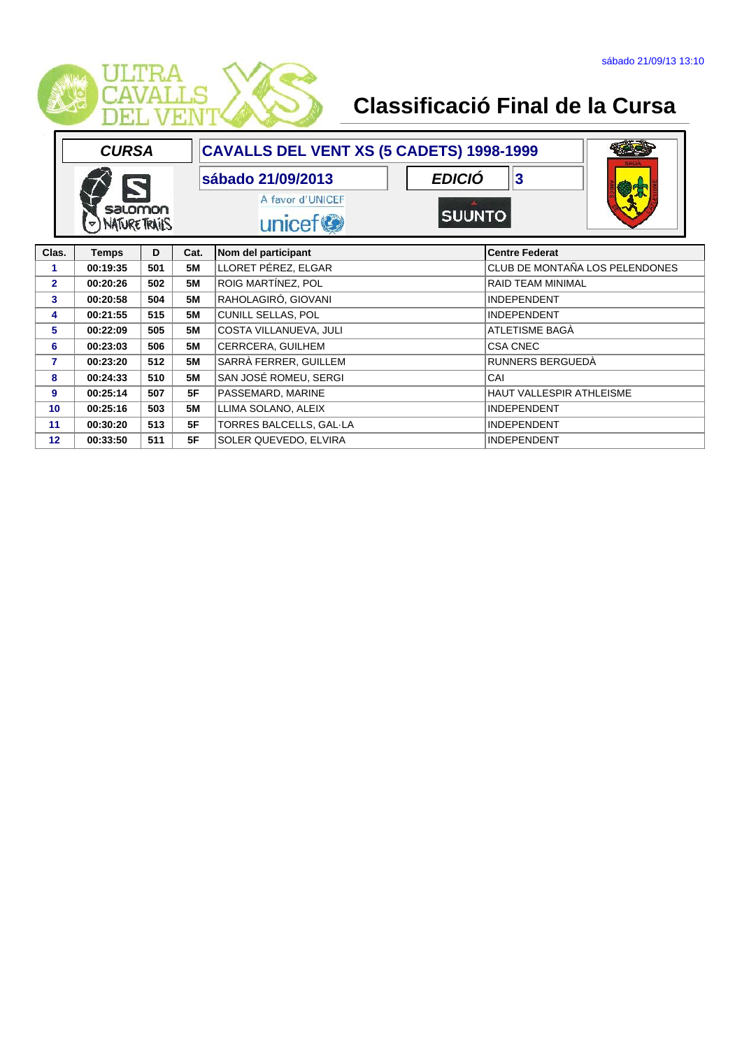

|                 | <b>CURSA</b>                    |     |           | CAVALLS DEL VENT XS (5 CADETS) 1998-1999                     |                                      |
|-----------------|---------------------------------|-----|-----------|--------------------------------------------------------------|--------------------------------------|
|                 | salomon<br><b>NATURE TRAILS</b> |     |           | sábado 21/09/2013<br>A favor d'UNICEF<br>unicef <sup>®</sup> | <b>EDICIÓ</b><br>∥3<br><b>SUUNTO</b> |
| Clas.           | <b>Temps</b>                    | D   | Cat.      | Nom del participant                                          | <b>Centre Federat</b>                |
| 1               | 00:19:35                        | 501 | <b>5M</b> | LLORET PÉREZ, ELGAR                                          | CLUB DE MONTAÑA LOS PELENDONES       |
| $\overline{2}$  | 00:20:26                        | 502 | <b>5M</b> | ROIG MARTÍNEZ, POL                                           | <b>RAID TEAM MINIMAL</b>             |
| 3               | 00:20:58                        | 504 | 5M        | RAHOLAGIRÓ, GIOVANI                                          | <b>INDEPENDENT</b>                   |
| 4               | 00:21:55                        | 515 | <b>5M</b> | <b>CUNILL SELLAS, POL</b>                                    | <b>INDEPENDENT</b>                   |
| 5               | 00:22:09                        | 505 | <b>5M</b> | COSTA VILLANUEVA, JULI                                       | ATLETISME BAGÀ                       |
| 6               | 00:23:03                        | 506 | <b>5M</b> | CERRCERA, GUILHEM                                            | <b>CSA CNEC</b>                      |
| 7               | 00:23:20                        | 512 | <b>5M</b> | SARRÀ FERRER, GUILLEM                                        | RUNNERS BERGUEDÀ                     |
| 8               | 00:24:33                        | 510 | <b>5M</b> | SAN JOSÉ ROMEU, SERGI                                        | CAI                                  |
| 9               | 00:25:14                        | 507 | 5F        | PASSEMARD, MARINE                                            | HAUT VALLESPIR ATHLEISME             |
| 10 <sub>1</sub> | 00:25:16                        | 503 | <b>5M</b> | LLIMA SOLANO, ALEIX                                          | <b>INDEPENDENT</b>                   |
| 11              | 00:30:20                        | 513 | 5F        | TORRES BALCELLS, GAL-LA                                      | <b>INDEPENDENT</b>                   |
| 12              | 00:33:50                        | 511 | 5F        | SOLER QUEVEDO, ELVIRA                                        | <b>INDEPENDENT</b>                   |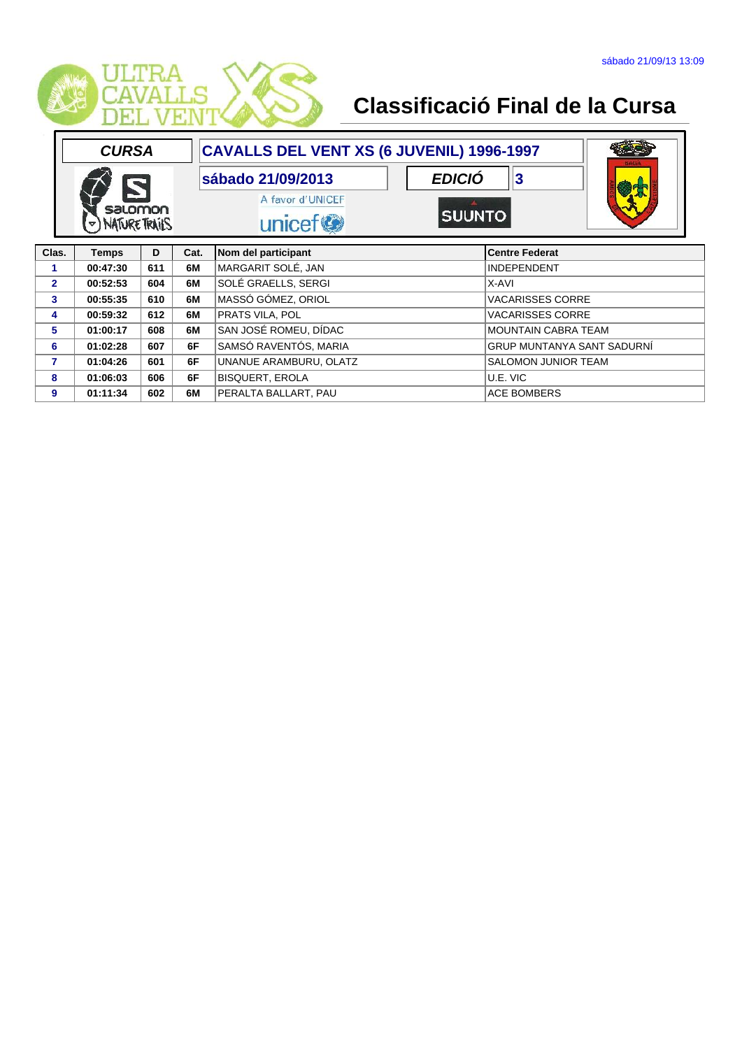

|                             | <b>CURSA</b> |     |                                         | CAVALLS DEL VENT XS (6 JUVENIL) 1996-1997 |                            |                                   |
|-----------------------------|--------------|-----|-----------------------------------------|-------------------------------------------|----------------------------|-----------------------------------|
|                             |              |     |                                         | sábado 21/09/2013                         | <b>EDICIÓ</b><br> 3        |                                   |
| salomon<br>D) NATURE TRAILS |              |     | A favor d'UNICEF<br>unicef <sup>®</sup> | <b>SUUNTO</b>                             |                            |                                   |
| Clas.                       | <b>Temps</b> | D   | Cat.                                    | Nom del participant                       | <b>Centre Federat</b>      |                                   |
| 1                           | 00:47:30     | 611 | 6M                                      | MARGARIT SOLÉ, JAN                        | <b>INDEPENDENT</b>         |                                   |
| $\overline{2}$              | 00:52:53     | 604 | 6M                                      | SOLÉ GRAELLS, SERGI                       | X-AVI                      |                                   |
| 3                           | 00:55:35     | 610 | 6M                                      | MASSÓ GÓMEZ, ORIOL                        | <b>VACARISSES CORRE</b>    |                                   |
| 4                           | 00:59:32     | 612 | 6M                                      | PRATS VILA, POL                           | <b>VACARISSES CORRE</b>    |                                   |
| 5                           | 01:00:17     | 608 | 6M                                      | SAN JOSÉ ROMEU, DÍDAC                     | <b>MOUNTAIN CABRA TEAM</b> |                                   |
| 6                           | 01:02:28     | 607 | 6F                                      | SAMSÓ RAVENTÓS, MARIA                     |                            | <b>GRUP MUNTANYA SANT SADURNI</b> |
| $\overline{7}$              | 01:04:26     | 601 | 6F                                      | UNANUE ARAMBURU, OLATZ                    | <b>SALOMON JUNIOR TEAM</b> |                                   |
| 8                           | 01:06:03     | 606 | 6F                                      | <b>BISQUERT, EROLA</b>                    | U.E. VIC                   |                                   |
| 9                           | 01:11:34     | 602 | 6M                                      | PERALTA BALLART, PAU                      | <b>ACE BOMBERS</b>         |                                   |